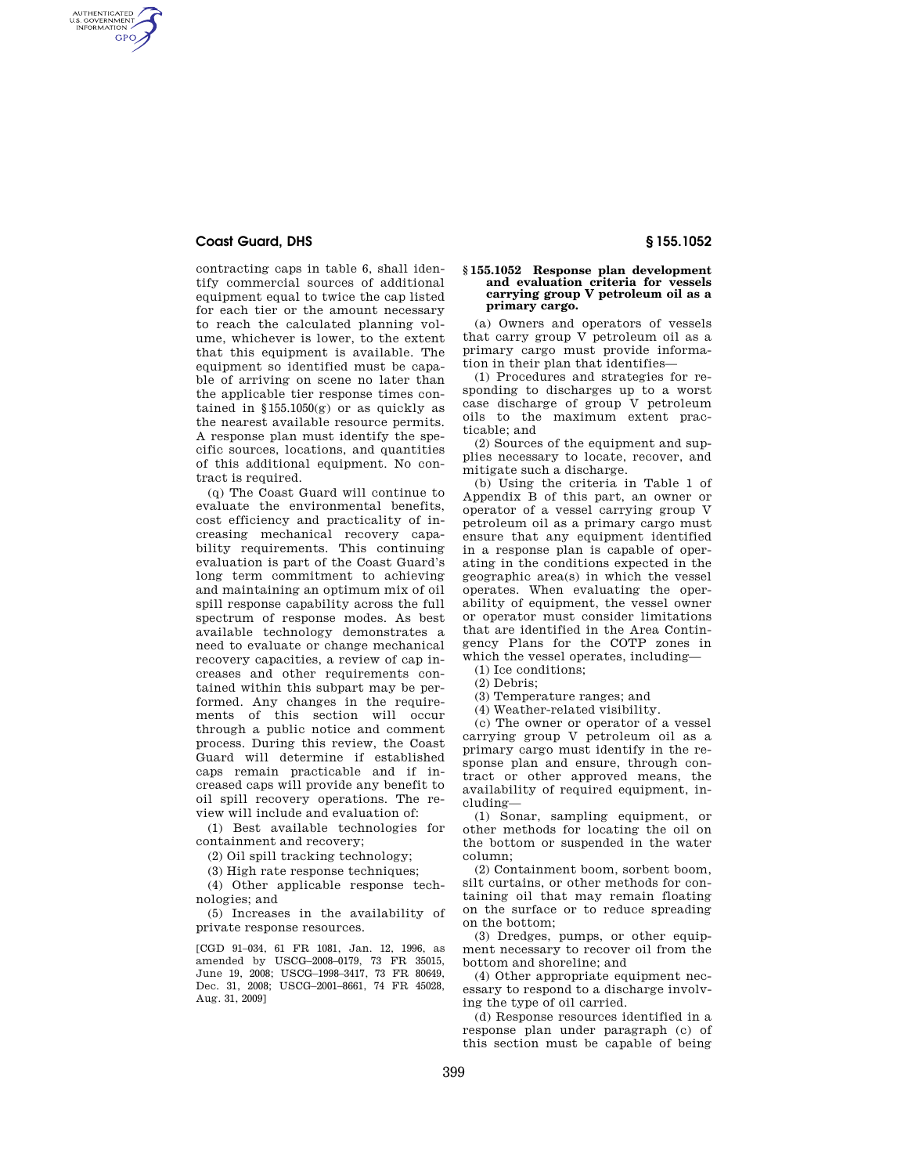## **Coast Guard, DHS § 155.1052**

AUTHENTICATED<br>U.S. GOVERNMENT<br>INFORMATION **GPO** 

> contracting caps in table 6, shall identify commercial sources of additional equipment equal to twice the cap listed for each tier or the amount necessary to reach the calculated planning volume, whichever is lower, to the extent that this equipment is available. The equipment so identified must be capable of arriving on scene no later than the applicable tier response times contained in  $§155.1050(g)$  or as quickly as the nearest available resource permits. A response plan must identify the specific sources, locations, and quantities of this additional equipment. No contract is required.

(q) The Coast Guard will continue to evaluate the environmental benefits, cost efficiency and practicality of increasing mechanical recovery capability requirements. This continuing evaluation is part of the Coast Guard's long term commitment to achieving and maintaining an optimum mix of oil spill response capability across the full spectrum of response modes. As best available technology demonstrates a need to evaluate or change mechanical recovery capacities, a review of cap increases and other requirements contained within this subpart may be performed. Any changes in the requirements of this section will occur through a public notice and comment process. During this review, the Coast Guard will determine if established caps remain practicable and if increased caps will provide any benefit to oil spill recovery operations. The review will include and evaluation of:

(1) Best available technologies for containment and recovery;

(2) Oil spill tracking technology;

(3) High rate response techniques;

(4) Other applicable response technologies; and

(5) Increases in the availability of private response resources.

[CGD 91–034, 61 FR 1081, Jan. 12, 1996, as amended by USCG–2008–0179, 73 FR 35015, June 19, 2008; USCG–1998–3417, 73 FR 80649, Dec. 31, 2008; USCG–2001–8661, 74 FR 45028, Aug. 31, 2009]

## **§ 155.1052 Response plan development and evaluation criteria for vessels carrying group V petroleum oil as a**

(a) Owners and operators of vessels that carry group V petroleum oil as a primary cargo must provide information in their plan that identifies—

**primary cargo.** 

(1) Procedures and strategies for responding to discharges up to a worst case discharge of group V petroleum oils to the maximum extent practicable; and

(2) Sources of the equipment and supplies necessary to locate, recover, and mitigate such a discharge.

(b) Using the criteria in Table 1 of Appendix B of this part, an owner or operator of a vessel carrying group V petroleum oil as a primary cargo must ensure that any equipment identified in a response plan is capable of operating in the conditions expected in the geographic area(s) in which the vessel operates. When evaluating the operability of equipment, the vessel owner or operator must consider limitations that are identified in the Area Contingency Plans for the COTP zones in which the vessel operates, including—

(1) Ice conditions;

(2) Debris;

(3) Temperature ranges; and

(4) Weather-related visibility.

(c) The owner or operator of a vessel carrying group V petroleum oil as a primary cargo must identify in the response plan and ensure, through contract or other approved means, the availability of required equipment, including—

(1) Sonar, sampling equipment, or other methods for locating the oil on the bottom or suspended in the water column;

(2) Containment boom, sorbent boom, silt curtains, or other methods for containing oil that may remain floating on the surface or to reduce spreading on the bottom;

(3) Dredges, pumps, or other equipment necessary to recover oil from the bottom and shoreline; and

(4) Other appropriate equipment necessary to respond to a discharge involving the type of oil carried.

(d) Response resources identified in a response plan under paragraph (c) of this section must be capable of being